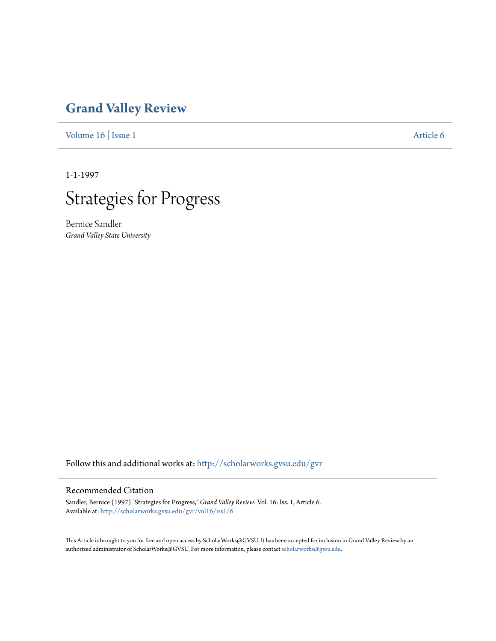# **[Grand Valley Review](http://scholarworks.gvsu.edu/gvr?utm_source=scholarworks.gvsu.edu%2Fgvr%2Fvol16%2Fiss1%2F6&utm_medium=PDF&utm_campaign=PDFCoverPages)**

[Volume 16](http://scholarworks.gvsu.edu/gvr/vol16?utm_source=scholarworks.gvsu.edu%2Fgvr%2Fvol16%2Fiss1%2F6&utm_medium=PDF&utm_campaign=PDFCoverPages) | [Issue 1](http://scholarworks.gvsu.edu/gvr/vol16/iss1?utm_source=scholarworks.gvsu.edu%2Fgvr%2Fvol16%2Fiss1%2F6&utm_medium=PDF&utm_campaign=PDFCoverPages) [Article 6](http://scholarworks.gvsu.edu/gvr/vol16/iss1/6?utm_source=scholarworks.gvsu.edu%2Fgvr%2Fvol16%2Fiss1%2F6&utm_medium=PDF&utm_campaign=PDFCoverPages)

1-1-1997



Bernice Sandler *Grand Valley State University*

Follow this and additional works at: [http://scholarworks.gvsu.edu/gvr](http://scholarworks.gvsu.edu/gvr?utm_source=scholarworks.gvsu.edu%2Fgvr%2Fvol16%2Fiss1%2F6&utm_medium=PDF&utm_campaign=PDFCoverPages)

### Recommended Citation

Sandler, Bernice (1997) "Strategies for Progress," *Grand Valley Review*: Vol. 16: Iss. 1, Article 6. Available at: [http://scholarworks.gvsu.edu/gvr/vol16/iss1/6](http://scholarworks.gvsu.edu/gvr/vol16/iss1/6?utm_source=scholarworks.gvsu.edu%2Fgvr%2Fvol16%2Fiss1%2F6&utm_medium=PDF&utm_campaign=PDFCoverPages)

This Article is brought to you for free and open access by ScholarWorks@GVSU. It has been accepted for inclusion in Grand Valley Review by an authorized administrator of ScholarWorks@GVSU. For more information, please contact [scholarworks@gvsu.edu.](mailto:scholarworks@gvsu.edu)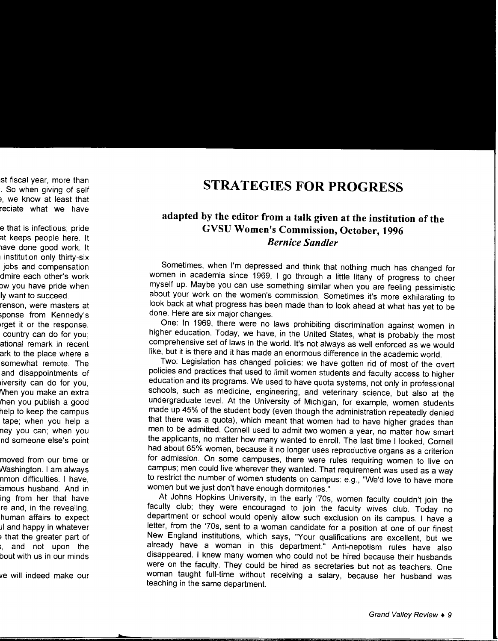## **STRATEGIES FOR PROGRESS**

### **adapted by the editor from a talk given at the institution of the GVSU Women's Commission, October, 1996**  *Bernice Sandler*

Sometimes, when I'm depressed and think that nothing much has changed for women in academia since 1969, I go through a little litany of progress to cheer myself up. Maybe you can use something similar when you are feeling pessimistic about your work on the women's commission. Sometimes it's more exhilarating to look back at what progress has been made than to look ahead at what has yet to be done. Here are six major changes.

One: In 1969, there were no laws prohibiting discrimination against women in higher education. Today, we have, in the United States, what is probably the most comprehensive set of laws in the world. It's not always as well enforced as we would like, but it is there and it has made an enormous difference in the academic world.

Two: Legislation has changed policies: we have gotten rid of most of the overt policies and practices that used to limit women students and faculty access to higher education and its programs. We used to have quota systems, not only in professional schools, such as medicine, engineering, and veterinary science, but also at the undergraduate level. At the University of Michigan, for example, women students made up 45% of the student body (even though the administration repeatedly denied that there was a quota), which meant that women had to have higher grades than men to be admitted. Cornell used to admit two women a year, no matter how smart the applicants, no matter how many wanted to enroll. The last time I looked, Cornell had about 65% women, because it no longer uses reproductive organs as a criterion for admission. On some campuses, there were rules requiring women to live on campus; men could live wherever they wanted. That requirement was used as a way to restrict the number of women students on campus: e.g., "We'd love to have more women but we just don't have enough dormitories."

At Johns Hopkins University, in the early '70s, women faculty couldn't join the faculty club; they were encouraged to join the faculty wives club. Today no department or school would openly allow such exclusion on its campus. I have a letter, from the '70s, sent to a woman candidate for a position at one of our finest New England institutions, which says, "Your qualifications are excellent, but we already have a woman in this department." Anti-nepotism rules have also disappeared. I knew many women who could not be hired because their husbands were on the faculty. They could be hired as secretaries but not as teachers. One woman taught full-time without receiving a salary, because her husband was teaching in the same department.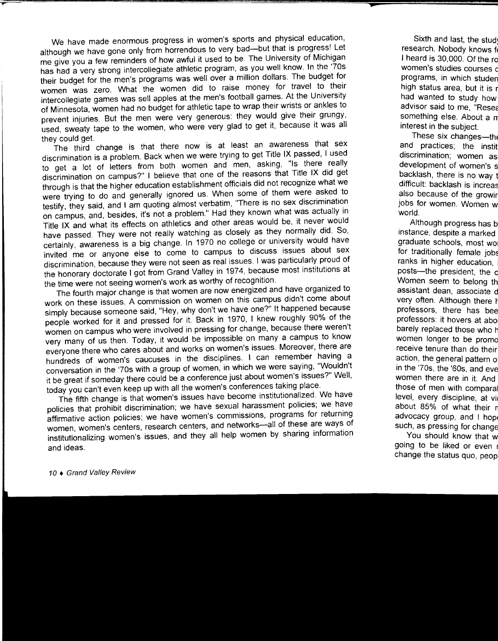We have made enormous progress in women's sports and physical education, although we have gone only from horrendous to very bad-but that is progress! Let me give you a few reminders of how awful it used to be. The University of Michigan has had a very strong intercollegiate athletic program, as you well know. In the '70s their budget for the men's programs was well over a million dollars. The budget for women was zero. What the women did to raise money for travel to their intercollegiate games was sell apples at the men's football games. At the University of Minnesota, women had no budget for athletic tape to wrap their wnsts or ankles to prevent injuries. But the men were very generous: they would give their grungy, used, sweaty tape to the women, who were very glad to get it, because it was all

they could get. The third change is that there now is at least an awareness that sex discrimination is a problem. Back when we were trying to get Title IX passed, I used to get a lot of letters from both women and men, asking, "Is there really discrimination on campus?" I believe that one of the reasons that Title IX did get through is that the higher education establishment officials did not recognize what we were trying to do and generally ignored us. When some of them were asked to testify, they said, and I am quoting almost verbatim, "There is no sex discrimination on campus, and, besides, it's not a problem." Had they known what was actually in Title IX and what its effects on athletics and other areas would be, 1t never would have passed. They were not really watching as closely as they normally did. So, certainly, awareness is a big change. In 1970 no college or university would have invited me or anyone else to come to campus to discuss issues about sex discrimination, because they were not seen as real issues. I was particularly proud of the honorary doctorate I got from Grand Valley in 1974, because most institutions at the time were not seeing women's work as worthy of recognition.

The fourth major change is that women are now energized and have organized to work on these issues. A commission on women on this campus didn't come about simply because someone said, "Hey, why don't we have one?" It happened because people worked for it and pressed for it. Back in 1970, I knew roughly 90% of the women on campus who were involved in pressing for change, because there weren't very many of us then. Today, it would be impossible on many a campus to know everyone there who cares about and works on women's issues. Moreover, there are hundreds of women's caucuses in the disciplines. I can remember having a conversation in the '70s with a group of women, in which we were saying, "Wouldn't it be great if someday there could be a conference just about women's issues?" Well, today you can't even keep up with all the women's conferences taking place.

The fifth change is that women's issues have become institutionalized. We have policies that prohibit discrimination; we have sexual harassment policies; we have affirmative action policies; we have women's commissions, programs for returning women, women's centers, research centers, and networks---all of these are ways of institutionalizing women's issues, and they all help women by sharing information and ideas.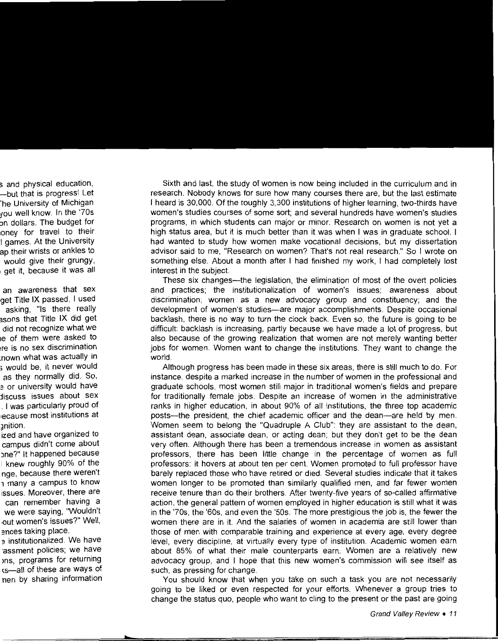Sixth and last, the study of women is now being included in the curriculum and in research. Nobody knows for sure how many courses there are, but the last estimate I heard is 30,000. Of the roughly 3,300 institutions of higher learning, two-thirds have women's studies courses of some sort; and several hundreds have women's studies programs, in which students can major or minor. Research on women is not yet a high status area, but it is much better than it was when I was in graduate school. I had wanted to study how women make vocational decisions, but my dissertation advisor said to me, "Research on women? That's not real research." So I wrote on something else. About a month after I had finished my work, I had completely lost interest in the subject.

These six changes-the legislation, the elimination of most of the overt policies and practices; the institutionalization of women's issues; awareness about discrimination; women as a new advocacy group and constituency; and the development of women's studies-are major accomplishments. Despite occasional backlash, there is no way to turn the clock back. Even so, the future is going to be difficult: backlash is increasing, partly because we have made a lot of progress, but also because of the growing realization that women are not merely wanting better jobs for women. Women want to change the institutions. They want to change the world.

Although progress has been made in these six areas, there is still much to do. For instance, despite a marked increase in the number of women in the professional and graduate schools, most women still major in traditional women's fields and prepare for traditionally female jobs. Despite an increase of women in the administrative ranks in higher education, in about 90% of all institutions, the three top academic posts-the president, the chief academic officer and the dean-are held by men. Women seem to belong the "Quadruple A Club": they are assistant to the dean, assistant dean, associate dean, or acting dean; but they don't get to be the dean very often. Although there has been a tremendous increase in women as assistant professors, there has been little change in the percentage of women as full professors: it hovers at about ten per cent. Women promoted to full professor have barely replaced those who have retired or died. Several studies indicate that it takes women longer to be promoted than similarly qualified men, and far fewer women receive tenure than do their brothers. After twenty-five years of so-called affirmative action, the general pattern of women employed in higher education is still what it was in the '70s, the '60s, and even the '50s. The more prestigious the job is, the fewer the women there are in it. And the salaries of women in academia are still lower than those of men with comparable training and experience at every age, every degree level, every discipline, at virtually every type of institution. Academic women earn about 85% of what their male counterparts earn. Women are a relatively new advocacy group, and I hope that this new women's commission will see itself as such, as pressing for change.

You should know that when you take on such a task you are not necessarily going to be liked or even respected for your efforts. Whenever a group tries to change the status quo, people who want to cling to the present or the past are going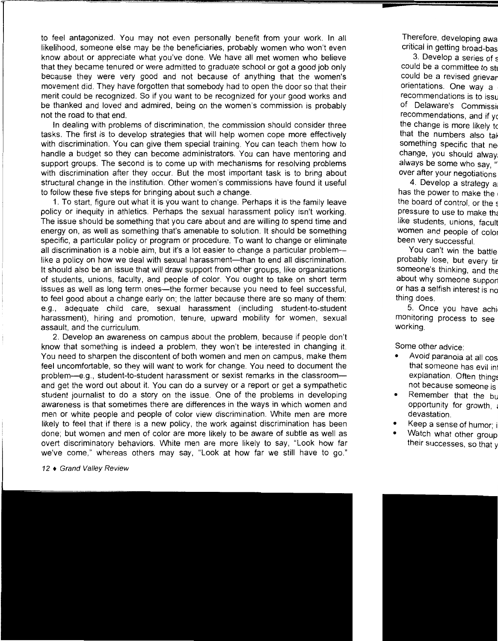to feel antagonized. You may not even personally benefit from your work. In all likelihood, someone else may be the beneficiaries, probably women who won't even know about or appreciate what you've done. We have all met women who believe that they became tenured or were admitted to graduate school or got a good job only because they were very good and not because of anything that the women's movement did. They have forgotten that somebody had to open the door so that their merit could be recognized. So if you want to be recognized for your good works and be thanked and loved and admired, being on the women's commission is probably not the road to that end.

In dealing with problems of discrimination, the commission should consider three tasks. The first is to develop strategies that will help women cope more effectively with discrimination. You can give them special training. You can teach them how to handle a budget so they can become administrators. You can have mentoring and support groups. The second is to come up with mechanisms for resolving problems with discrimination after they occur. But the most important task is to bring about structural change in the institution. Other women's commissions have found it useful to follow these five steps for bringing about such a change.

1. To start, figure out what it is you want to change. Perhaps it is the family leave policy or inequity in athletics. Perhaps the sexual harassment policy isn't working. The issue should be something that you care about and are willing to spend time and energy on, as well as something that's amenable to solution. It should be something specific, a particular policy or program or procedure. To want to change or eliminate all discrimination is a noble aim, but it's a lot easier to change a particular problem--like a policy on how we deal with sexual harassment—than to end all discrimination. It should also be an issue that will draw support from other groups, like organizations of students, unions, faculty, and people of color. You ought to take on short term issues as well as long term ones—the former because you need to feel successful, to feel good about a change early on; the latter because there are so many of them: e.g., adequate child care, sexual harassment (including student-to-student harassment), hiring and promotion, tenure, upward mobility for women, sexual assault, and the curriculum.

2. Develop an awareness on campus about the problem, because if people don't know that something is indeed a problem, they won't be interested in changing it. You need to sharpen the discontent of both women and men on campus, make them feel uncomfortable, so they will want to work for change. You need to document the problem-e.g., student-to-student harassment or sexist remarks in the classroomand get the word out about it. You can do a survey or a report or get a sympathetic student journalist to do a story on the issue. One of the problems in developing awareness is that sometimes there are differences in the ways in which women and men or white people and people of color view discrimination. White men are more likely to feel that if there is a new policy, the work against discrimination has been done; but women and men of color are more likely to be aware of subtle as well as overt discriminatory behaviors. White men are more likely to say, "Look how far we've come," whereas others may say, "Look at how far we still have to go."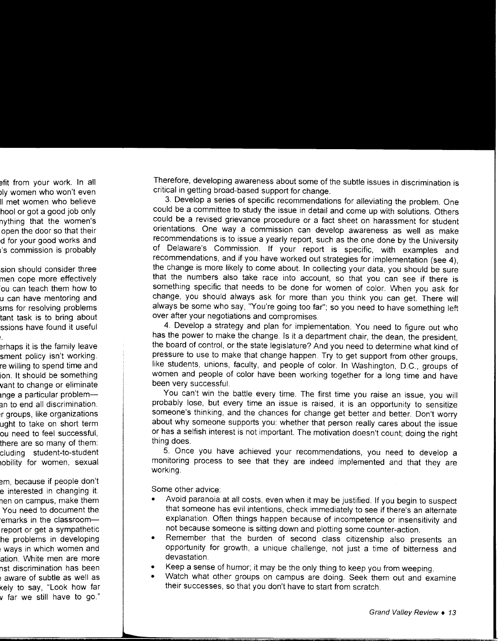Therefore, developing awareness about some of the subtle issues in discrimination is critical in getting broad-based support for change.

3. Develop a series of specific recommendations for alleviating the problem. One could be a committee to study the issue in detail and come up with solutions. Others could be a revised grievance procedure or a fact sheet on harassment for student orientations. One way a commission can develop awareness as well as make recommendations is to issue a yearly report, such as the one done by the University of Delaware's Commission. If your report is specific, with examples and recommendations, and if you have worked out strategies for implementation (see 4), the change is more likely to come about. In collecting your data, you should be sure that the numbers also take race into account, so that you can see if there is something specific that needs to be done for women of color. When you ask for change, you should always ask for more than you think you can get. There will always be some who say, "You're going too far"; so you need to have something left over after your negotiations and compromises.

4. Develop a strategy and plan for implementation. You need to figure out who has the power to make the change. Is it a department chair, the dean, the president, the board of control, or the state legislature? And you need to determine what kind of pressure to use to make that change happen. Try to get support from other groups, like students, unions, faculty, and people of color. In Washington, D.C., groups of women and people of color have been working together for a long time and have been very successful.

You can't win the battle every time. The first time you raise an issue, you will probably lose, but every time an issue is raised, it is an opportunity to sensitize someone's thinking, and the chances for change get better and better. Don't worry about why someone supports you: whether that person really cares about the issue or has a selfish interest is not important. The motivation doesn't count; doing the right thing does.

5. Once you have achieved your recommendations, you need to develop a monitoring process to see that they are indeed implemented and that they are working.

Some other advice:

- Avoid paranoia at all costs, even when it may be justified. If you begin to suspect that someone has evil intentions, check immediately to see if there's an alternate explanation. Often things happen because of incompetence or insensitivity and not because someone is sitting down and plotting some counter-action.
- Remember that the burden of second class citizenship also presents an opportunity for growth, a unique challenge, not just a time of bitterness and devastation.
- Keep a sense of humor; it may be the only thing to keep you from weeping.
- Watch what other groups on campus are doing. Seek them out and examine their successes, so that you don't have to start from scratch.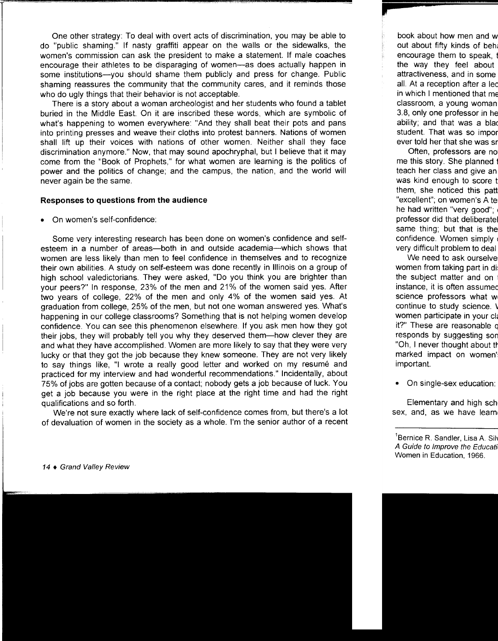One other strategy: To deal with overt acts of discrimination, you may be able to do "public shaming." If nasty graffiti appear on the walls or the sidewalks, the women's commission can ask the president to make a statement. If male coaches encourage their athletes to be disparaging of women-as does actually happen in some institutions--you should shame them publicly and press for change. Public shaming reassures the community that the community cares, and it reminds those who do ugly things that their behavior is not acceptable.

There is a story about a woman archeologist and her students who found a tablet buried in the Middle East. On it are inscribed these words, which are symbolic of what's happening to women everywhere: "And they shall beat their pots and pans into printing presses and weave their cloths into protest banners. Nations of women shall lift up their voices with nations of other women. Neither shall they face discrimination anymore." Now, that may sound apochryphal, but I believe that it may come from the "Book of Prophets," for what women are learning is the politics of power and the politics of change; and the campus, the nation, and the world will never again be the same.

#### **Responses to questions from the audience**

• On women's self-confidence:

Some very interesting research has been done on women's confidence and selfesteem in a number of areas—both in and outside academia—which shows that women are less likely than men to feel confidence in themselves and to recognize their own abilities. A study on self-esteem was done recently in Illinois on a group of high school valedictorians. They were asked, "Do you think you are brighter than your peers?" In response, 23% of the men and 21% of the women said yes. After two years of college, 22% of the men and only 4% of the women said yes. At graduation from college, 25% of the men, but not one woman answered yes. What's happening in our college classrooms? Something that is not helping women develop confidence. You can see this phenomenon elsewhere. If you ask men how they got their jobs, they will probably tell you why they deserved them-how clever they are and what they have accomplished. Women are more likely to say that they were very lucky or that they got the job because they knew someone. They are not very likely to say things like, "I wrote a really good letter and worked on my resume and practiced for my interview and had wonderful recommendations." Incidentally, about 75% of jobs are gotten because of a contact; nobody gets a job because of luck. You get a job because you were in the right place at the right time and had the right qualifications and so forth.

We're not sure exactly where lack of self-confidence comes from, but there's a lot of devaluation of women in the society as a whole. I'm the senior author of a recent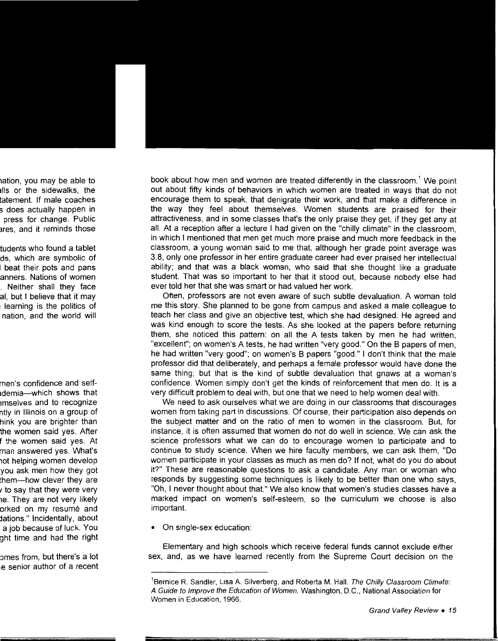book about how men and women are treated differently in the classroom.<sup>1</sup> We point out about fifty kinds of behaviors in which women are treated in ways that do not encourage them to speak, that denigrate their work, and that make a difference in the way they feel about themselves. Women students are praised for their attractiveness, and in some classes that's the only praise they get, if they get any at all. At a reception after a lecture I had given on the "chilly climate" in the classroom, in which I mentioned that men get much more praise and much more feedback in the classroom, a young woman said to me that, although her grade point average was 3.8, only one professor in her entire graduate career had ever praised her intellectual ability; and that was a black woman, who said that she thought like a graduate student. That was so important to her that it stood out, because nobody else had ever told her that she was smart or had valued her work.

Often, professors are not even aware of such subtle devaluation. A woman told me this story. She planned to be gone from campus and asked a male colleague to teach her class and give an objective test, which she had designed. He agreed and was kind enough to score the tests. As she looked at the papers before returning them, she noticed this pattern: on all the A tests taken by men he had written, "excellent"; on women's A tests, he had written "very good." On the B papers of men, he had written "very good"; on women's B papers "good." I don't think that the male professor did that deliberately, and perhaps a female professor would have done the same thing; but that is the kind of subtle devaluation that gnaws at a woman's confidence. Women simply don't get the kinds of reinforcement that men do. It is a very difficult problem to deal with, but one that we need to help women deal with.

We need to ask ourselves what we are doing in our classrooms that discourages women from taking part in discussions. Of course, their participation also depends on the subject matter and on the ratio of men to women in the classroom. But, for instance, it is often assumed that women do not do well in science. We can ask the science professors what we can do to encourage women to participate and to continue to study science. When we hire faculty members, we can ask them, "Do women participate in your classes as much as men do? If not, what do you do about it?" These are reasonable questions to ask a candidate. Any man or woman who responds by suggesting some techniques is likely to be better than one who says, "Oh, I never thought about that." We also know that women's studies classes have a marked impact on women's self-esteem, so the curriculum we choose is also important.

• On single-sex education:

Elementary and high schools which receive federal funds cannot exclude either sex, and, as we have learned recently from the Supreme Court decision on the

<sup>&</sup>lt;sup>1</sup> Bernice R. Sandler, Lisa A. Silverberg, and Roberta M. Hall. The Chilly Classroom Climate: A Guide to Improve the Education of Women. Washington, D.C., National Association for Women in Education, 1966.